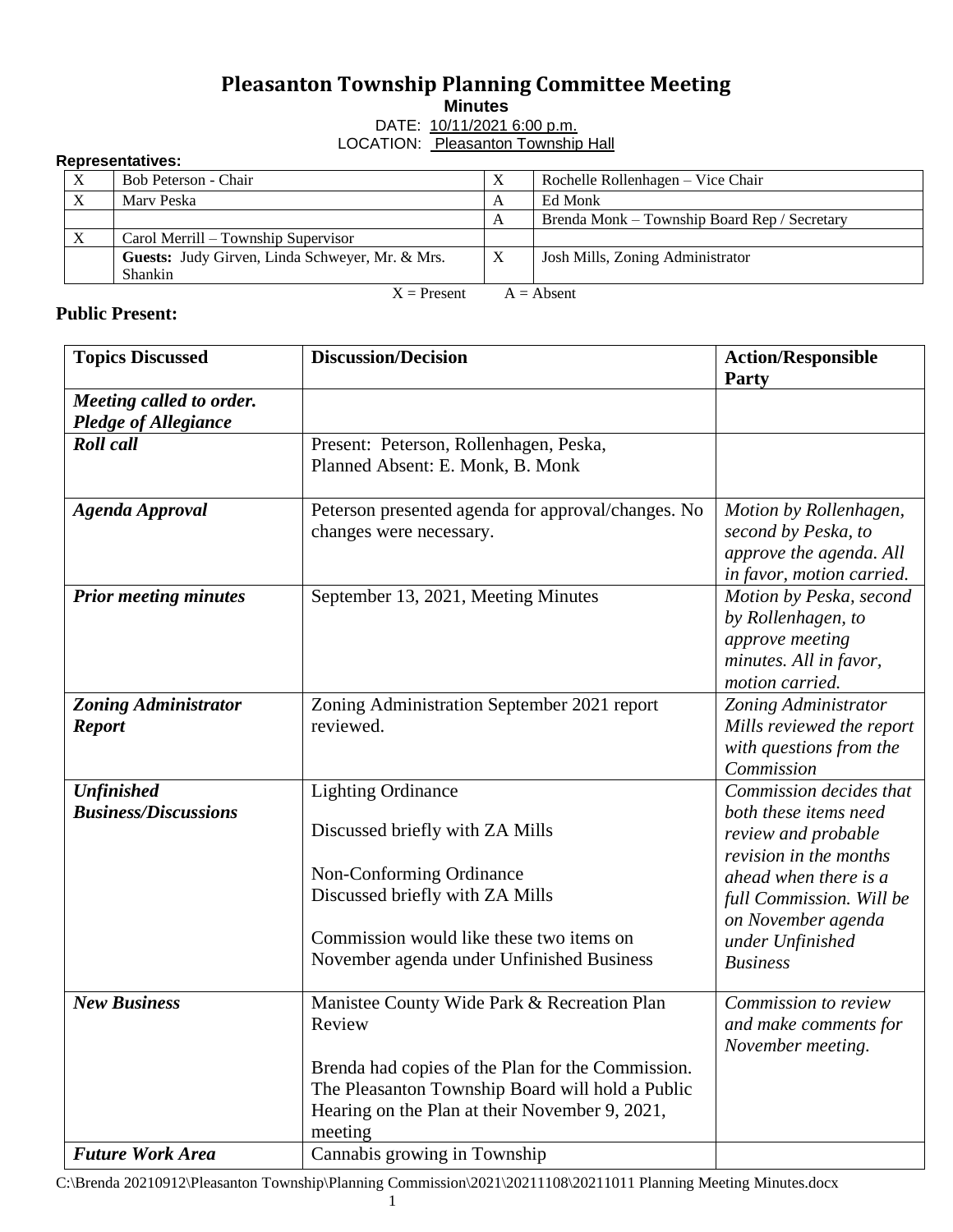## **Pleasanton Township Planning Committee Meeting**

**Minutes**

DATE: 10/11/2021 6:00 p.m. LOCATION: Pleasanton Township Hall

## **Representatives:**

| .                             |                                                 |                           |                                              |  |  |
|-------------------------------|-------------------------------------------------|---------------------------|----------------------------------------------|--|--|
| $\mathbf{X}$                  | Bob Peterson - Chair                            | X                         | Rochelle Rollenhagen – Vice Chair            |  |  |
|                               | Mary Peska                                      | A                         | Ed Monk                                      |  |  |
|                               |                                                 | А                         | Brenda Monk – Township Board Rep / Secretary |  |  |
|                               | Carol Merrill – Township Supervisor             |                           |                                              |  |  |
|                               | Guests: Judy Girven, Linda Schweyer, Mr. & Mrs. | $\boldsymbol{\mathrm{X}}$ | Josh Mills, Zoning Administrator             |  |  |
|                               | <b>Shankin</b>                                  |                           |                                              |  |  |
| $X =$ Present<br>$A = Absent$ |                                                 |                           |                                              |  |  |

## **Public Present:**

| <b>Topics Discussed</b>      | <b>Discussion/Decision</b>                         | <b>Action/Responsible</b><br>Party     |
|------------------------------|----------------------------------------------------|----------------------------------------|
| Meeting called to order.     |                                                    |                                        |
| <b>Pledge of Allegiance</b>  |                                                    |                                        |
| <b>Roll</b> call             | Present: Peterson, Rollenhagen, Peska,             |                                        |
|                              | Planned Absent: E. Monk, B. Monk                   |                                        |
| <b>Agenda Approval</b>       | Peterson presented agenda for approval/changes. No | Motion by Rollenhagen,                 |
|                              | changes were necessary.                            | second by Peska, to                    |
|                              |                                                    | approve the agenda. All                |
|                              |                                                    | in favor, motion carried.              |
| <b>Prior meeting minutes</b> | September 13, 2021, Meeting Minutes                | Motion by Peska, second                |
|                              |                                                    | by Rollenhagen, to                     |
|                              |                                                    | approve meeting                        |
|                              |                                                    | minutes. All in favor,                 |
|                              |                                                    | motion carried.                        |
| <b>Zoning Administrator</b>  | Zoning Administration September 2021 report        | Zoning Administrator                   |
| <b>Report</b>                | reviewed.                                          | Mills reviewed the report              |
|                              |                                                    | with questions from the                |
|                              |                                                    | Commission                             |
| <b>Unfinished</b>            | <b>Lighting Ordinance</b>                          | Commission decides that                |
| <b>Business/Discussions</b>  | Discussed briefly with ZA Mills                    | both these items need                  |
|                              |                                                    | review and probable                    |
|                              | Non-Conforming Ordinance                           | revision in the months                 |
|                              | Discussed briefly with ZA Mills                    | ahead when there is a                  |
|                              |                                                    | full Commission. Will be               |
|                              | Commission would like these two items on           | on November agenda<br>under Unfinished |
|                              | November agenda under Unfinished Business          | <b>Business</b>                        |
|                              |                                                    |                                        |
| <b>New Business</b>          | Manistee County Wide Park & Recreation Plan        | Commission to review                   |
|                              | Review                                             | and make comments for                  |
|                              |                                                    | November meeting.                      |
|                              | Brenda had copies of the Plan for the Commission.  |                                        |
|                              | The Pleasanton Township Board will hold a Public   |                                        |
|                              | Hearing on the Plan at their November 9, 2021,     |                                        |
|                              | meeting                                            |                                        |
| <b>Future Work Area</b>      | Cannabis growing in Township                       |                                        |

C:\Brenda 20210912\Pleasanton Township\Planning Commission\2021\20211108\20211011 Planning Meeting Minutes.docx